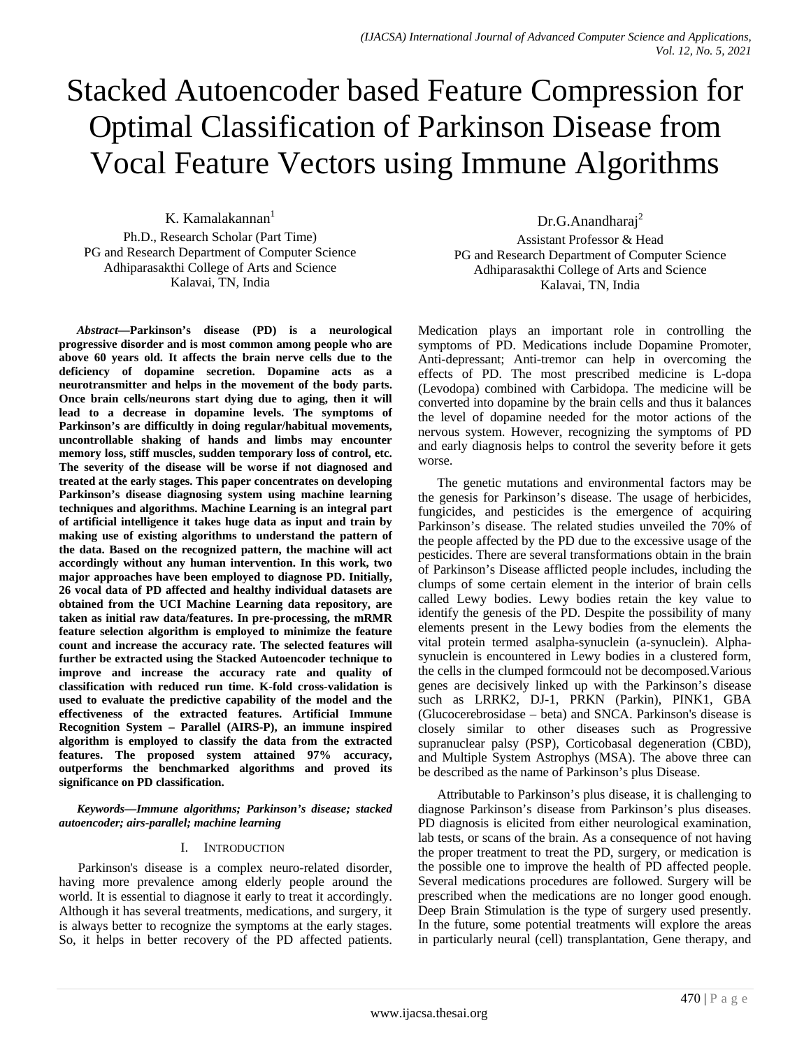# Stacked Autoencoder based Feature Compression for Optimal Classification of Parkinson Disease from Vocal Feature Vectors using Immune Algorithms

K. Kamalakannan $<sup>1</sup>$ </sup> Ph.D., Research Scholar (Part Time) PG and Research Department of Computer Science Adhiparasakthi College of Arts and Science Kalavai, TN, India

*Abstract—***Parkinson's disease (PD) is a neurological progressive disorder and is most common among people who are above 60 years old. It affects the brain nerve cells due to the deficiency of dopamine secretion. Dopamine acts as a neurotransmitter and helps in the movement of the body parts. Once brain cells/neurons start dying due to aging, then it will lead to a decrease in dopamine levels. The symptoms of Parkinson's are difficultly in doing regular/habitual movements, uncontrollable shaking of hands and limbs may encounter memory loss, stiff muscles, sudden temporary loss of control, etc. The severity of the disease will be worse if not diagnosed and treated at the early stages. This paper concentrates on developing Parkinson's disease diagnosing system using machine learning techniques and algorithms. Machine Learning is an integral part of artificial intelligence it takes huge data as input and train by making use of existing algorithms to understand the pattern of the data. Based on the recognized pattern, the machine will act accordingly without any human intervention. In this work, two major approaches have been employed to diagnose PD. Initially, 26 vocal data of PD affected and healthy individual datasets are obtained from the UCI Machine Learning data repository, are taken as initial raw data/features. In pre-processing, the mRMR feature selection algorithm is employed to minimize the feature count and increase the accuracy rate. The selected features will further be extracted using the Stacked Autoencoder technique to improve and increase the accuracy rate and quality of classification with reduced run time. K-fold cross-validation is used to evaluate the predictive capability of the model and the effectiveness of the extracted features. Artificial Immune Recognition System – Parallel (AIRS-P), an immune inspired algorithm is employed to classify the data from the extracted features. The proposed system attained 97% accuracy, outperforms the benchmarked algorithms and proved its significance on PD classification.**

*Keywords—Immune algorithms; Parkinson's disease; stacked autoencoder; airs-parallel; machine learning*

#### I. INTRODUCTION

Parkinson's disease is a complex neuro-related disorder, having more prevalence among elderly people around the world. It is essential to diagnose it early to treat it accordingly. Although it has several treatments, medications, and surgery, it is always better to recognize the symptoms at the early stages. So, it helps in better recovery of the PD affected patients.

Dr.G.Anandharai<sup>2</sup> Assistant Professor & Head PG and Research Department of Computer Science Adhiparasakthi College of Arts and Science Kalavai, TN, India

Medication plays an important role in controlling the symptoms of PD. Medications include Dopamine Promoter, Anti-depressant; Anti-tremor can help in overcoming the effects of PD. The most prescribed medicine is L-dopa (Levodopa) combined with Carbidopa. The medicine will be converted into dopamine by the brain cells and thus it balances the level of dopamine needed for the motor actions of the nervous system. However, recognizing the symptoms of PD and early diagnosis helps to control the severity before it gets worse.

The genetic mutations and environmental factors may be the genesis for Parkinson's disease. The usage of herbicides, fungicides, and pesticides is the emergence of acquiring Parkinson's disease. The related studies unveiled the 70% of the people affected by the PD due to the excessive usage of the pesticides. There are several transformations obtain in the brain of Parkinson's Disease afflicted people includes, including the clumps of some certain element in the interior of brain cells called Lewy bodies. Lewy bodies retain the key value to identify the genesis of the PD. Despite the possibility of many elements present in the Lewy bodies from the elements the vital protein termed asalpha-synuclein (a-synuclein). Alphasynuclein is encountered in Lewy bodies in a clustered form, the cells in the clumped formcould not be decomposed.Various genes are decisively linked up with the Parkinson's disease such as LRRK2, DJ-1, PRKN (Parkin), PINK1, GBA (Glucocerebrosidase – beta) and SNCA. Parkinson's disease is closely similar to other diseases such as Progressive supranuclear palsy (PSP), Corticobasal degeneration (CBD), and Multiple System Astrophys (MSA). The above three can be described as the name of Parkinson's plus Disease.

Attributable to Parkinson's plus disease, it is challenging to diagnose Parkinson's disease from Parkinson's plus diseases. PD diagnosis is elicited from either neurological examination, lab tests, or scans of the brain. As a consequence of not having the proper treatment to treat the PD, surgery, or medication is the possible one to improve the health of PD affected people. Several medications procedures are followed. Surgery will be prescribed when the medications are no longer good enough. Deep Brain Stimulation is the type of surgery used presently. In the future, some potential treatments will explore the areas in particularly neural (cell) transplantation, Gene therapy, and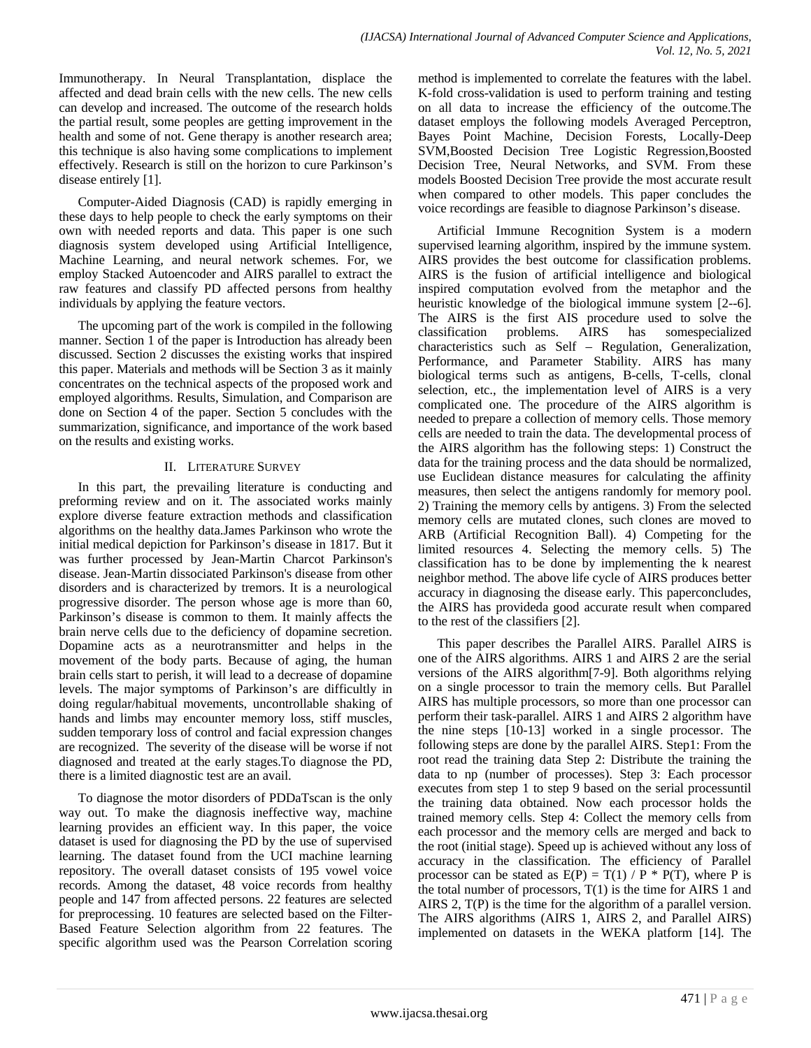Immunotherapy. In Neural Transplantation, displace the affected and dead brain cells with the new cells. The new cells can develop and increased. The outcome of the research holds the partial result, some peoples are getting improvement in the health and some of not. Gene therapy is another research area; this technique is also having some complications to implement effectively. Research is still on the horizon to cure Parkinson's disease entirely [1].

Computer-Aided Diagnosis (CAD) is rapidly emerging in these days to help people to check the early symptoms on their own with needed reports and data. This paper is one such diagnosis system developed using Artificial Intelligence, Machine Learning, and neural network schemes. For, we employ Stacked Autoencoder and AIRS parallel to extract the raw features and classify PD affected persons from healthy individuals by applying the feature vectors.

The upcoming part of the work is compiled in the following manner. Section 1 of the paper is Introduction has already been discussed. Section 2 discusses the existing works that inspired this paper. Materials and methods will be Section 3 as it mainly concentrates on the technical aspects of the proposed work and employed algorithms. Results, Simulation, and Comparison are done on Section 4 of the paper. Section 5 concludes with the summarization, significance, and importance of the work based on the results and existing works.

# II. LITERATURE SURVEY

In this part, the prevailing literature is conducting and preforming review and on it. The associated works mainly explore diverse feature extraction methods and classification algorithms on the healthy data.James Parkinson who wrote the initial medical depiction for Parkinson's disease in 1817. But it was further processed by Jean-Martin Charcot Parkinson's disease. Jean-Martin dissociated Parkinson's disease from other disorders and is characterized by tremors. It is a neurological progressive disorder. The person whose age is more than 60, Parkinson's disease is common to them. It mainly affects the brain nerve cells due to the deficiency of dopamine secretion. Dopamine acts as a neurotransmitter and helps in the movement of the body parts. Because of aging, the human brain cells start to perish, it will lead to a decrease of dopamine levels. The major symptoms of Parkinson's are difficultly in doing regular/habitual movements, uncontrollable shaking of hands and limbs may encounter memory loss, stiff muscles, sudden temporary loss of control and facial expression changes are recognized. The severity of the disease will be worse if not diagnosed and treated at the early stages.To diagnose the PD, there is a limited diagnostic test are an avail.

To diagnose the motor disorders of PDDaTscan is the only way out. To make the diagnosis ineffective way, machine learning provides an efficient way. In this paper, the voice dataset is used for diagnosing the PD by the use of supervised learning. The dataset found from the UCI machine learning repository. The overall dataset consists of 195 vowel voice records. Among the dataset, 48 voice records from healthy people and 147 from affected persons. 22 features are selected for preprocessing. 10 features are selected based on the Filter-Based Feature Selection algorithm from 22 features. The specific algorithm used was the Pearson Correlation scoring method is implemented to correlate the features with the label. K-fold cross-validation is used to perform training and testing on all data to increase the efficiency of the outcome.The dataset employs the following models Averaged Perceptron, Bayes Point Machine, Decision Forests, Locally-Deep SVM,Boosted Decision Tree Logistic Regression,Boosted Decision Tree, Neural Networks, and SVM. From these models Boosted Decision Tree provide the most accurate result when compared to other models. This paper concludes the voice recordings are feasible to diagnose Parkinson's disease.

Artificial Immune Recognition System is a modern supervised learning algorithm, inspired by the immune system. AIRS provides the best outcome for classification problems. AIRS is the fusion of artificial intelligence and biological inspired computation evolved from the metaphor and the heuristic knowledge of the biological immune system [2--6]. The AIRS is the first AIS procedure used to solve the classification problems. AIRS has somespecialized characteristics such as Self – Regulation, Generalization, Performance, and Parameter Stability. AIRS has many biological terms such as antigens, B-cells, T-cells, clonal selection, etc., the implementation level of AIRS is a very complicated one. The procedure of the AIRS algorithm is needed to prepare a collection of memory cells. Those memory cells are needed to train the data. The developmental process of the AIRS algorithm has the following steps: 1) Construct the data for the training process and the data should be normalized, use Euclidean distance measures for calculating the affinity measures, then select the antigens randomly for memory pool. 2) Training the memory cells by antigens. 3) From the selected memory cells are mutated clones, such clones are moved to ARB (Artificial Recognition Ball). 4) Competing for the limited resources 4. Selecting the memory cells. 5) The classification has to be done by implementing the k nearest neighbor method. The above life cycle of AIRS produces better accuracy in diagnosing the disease early. This paperconcludes, the AIRS has provideda good accurate result when compared to the rest of the classifiers [2].

This paper describes the Parallel AIRS. Parallel AIRS is one of the AIRS algorithms. AIRS 1 and AIRS 2 are the serial versions of the AIRS algorithm[7-9]. Both algorithms relying on a single processor to train the memory cells. But Parallel AIRS has multiple processors, so more than one processor can perform their task-parallel. AIRS 1 and AIRS 2 algorithm have the nine steps [10-13] worked in a single processor. The following steps are done by the parallel AIRS. Step1: From the root read the training data Step 2: Distribute the training the data to np (number of processes). Step 3: Each processor executes from step 1 to step 9 based on the serial processuntil the training data obtained. Now each processor holds the trained memory cells. Step 4: Collect the memory cells from each processor and the memory cells are merged and back to the root (initial stage). Speed up is achieved without any loss of accuracy in the classification. The efficiency of Parallel processor can be stated as  $E(P) = T(1) / P * P(T)$ , where P is the total number of processors,  $T(1)$  is the time for AIRS 1 and AIRS 2, T(P) is the time for the algorithm of a parallel version. The AIRS algorithms (AIRS 1, AIRS 2, and Parallel AIRS) implemented on datasets in the WEKA platform [14]. The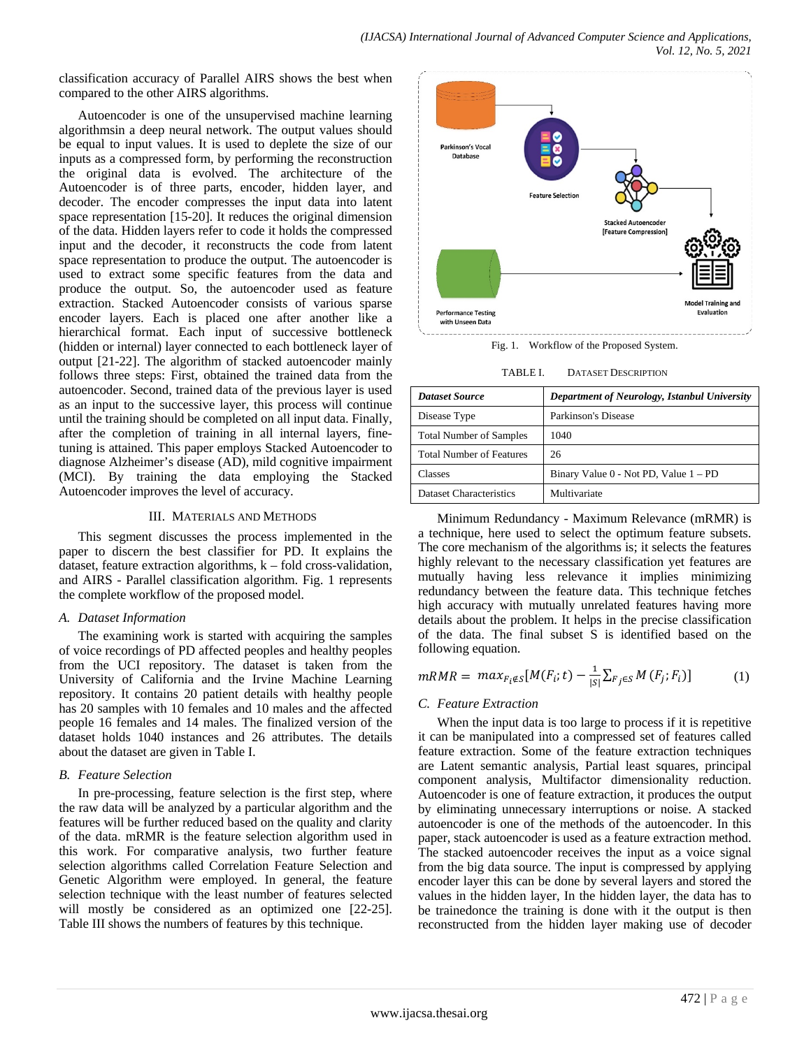classification accuracy of Parallel AIRS shows the best when compared to the other AIRS algorithms.

Autoencoder is one of the unsupervised machine learning algorithmsin a deep neural network. The output values should be equal to input values. It is used to deplete the size of our inputs as a compressed form, by performing the reconstruction the original data is evolved. The architecture of the Autoencoder is of three parts, encoder, hidden layer, and decoder. The encoder compresses the input data into latent space representation [15-20]. It reduces the original dimension of the data. Hidden layers refer to code it holds the compressed input and the decoder, it reconstructs the code from latent space representation to produce the output. The autoencoder is used to extract some specific features from the data and produce the output. So, the autoencoder used as feature extraction. Stacked Autoencoder consists of various sparse encoder layers. Each is placed one after another like a hierarchical format. Each input of successive bottleneck (hidden or internal) layer connected to each bottleneck layer of output [21-22]. The algorithm of stacked autoencoder mainly follows three steps: First, obtained the trained data from the autoencoder. Second, trained data of the previous layer is used as an input to the successive layer, this process will continue until the training should be completed on all input data. Finally, after the completion of training in all internal layers, finetuning is attained. This paper employs Stacked Autoencoder to diagnose Alzheimer's disease (AD), mild cognitive impairment (MCI). By training the data employing the Stacked Autoencoder improves the level of accuracy.

#### III. MATERIALS AND METHODS

This segment discusses the process implemented in the paper to discern the best classifier for PD. It explains the dataset, feature extraction algorithms, k – fold cross-validation, and AIRS - Parallel classification algorithm. Fig. 1 represents the complete workflow of the proposed model.

#### *A. Dataset Information*

The examining work is started with acquiring the samples of voice recordings of PD affected peoples and healthy peoples from the UCI repository. The dataset is taken from the University of California and the Irvine Machine Learning repository. It contains 20 patient details with healthy people has 20 samples with 10 females and 10 males and the affected people 16 females and 14 males. The finalized version of the dataset holds 1040 instances and 26 attributes. The details about the dataset are given in Table I.

# *B. Feature Selection*

In pre-processing, feature selection is the first step, where the raw data will be analyzed by a particular algorithm and the features will be further reduced based on the quality and clarity of the data. mRMR is the feature selection algorithm used in this work. For comparative analysis, two further feature selection algorithms called Correlation Feature Selection and Genetic Algorithm were employed. In general, the feature selection technique with the least number of features selected will mostly be considered as an optimized one [22-25]. Table III shows the numbers of features by this technique.



Fig. 1. Workflow of the Proposed System.

| TABLE I. | <b>DATASET DESCRIPTION</b> |
|----------|----------------------------|
|          |                            |

| <b>Dataset Source</b>           | Department of Neurology, Istanbul University |  |  |
|---------------------------------|----------------------------------------------|--|--|
| Disease Type                    | Parkinson's Disease                          |  |  |
| <b>Total Number of Samples</b>  | 1040                                         |  |  |
| <b>Total Number of Features</b> | 26                                           |  |  |
| Classes                         | Binary Value 0 - Not PD, Value 1 - PD        |  |  |
| Dataset Characteristics         | Multivariate                                 |  |  |

Minimum Redundancy - Maximum Relevance (mRMR) is a technique, here used to select the optimum feature subsets. The core mechanism of the algorithms is; it selects the features highly relevant to the necessary classification yet features are mutually having less relevance it implies minimizing redundancy between the feature data. This technique fetches high accuracy with mutually unrelated features having more details about the problem. It helps in the precise classification of the data. The final subset S is identified based on the following equation.

$$
mRMR = max_{F_i \notin S} [M(F_i; t) - \frac{1}{|S|} \sum_{F_j \in S} M(F_j; F_i)] \tag{1}
$$

# *C. Feature Extraction*

When the input data is too large to process if it is repetitive it can be manipulated into a compressed set of features called feature extraction. Some of the feature extraction techniques are Latent semantic analysis, Partial least squares, principal component analysis, Multifactor dimensionality reduction. Autoencoder is one of feature extraction, it produces the output by eliminating unnecessary interruptions or noise. A stacked autoencoder is one of the methods of the autoencoder. In this paper, stack autoencoder is used as a feature extraction method. The stacked autoencoder receives the input as a voice signal from the big data source. The input is compressed by applying encoder layer this can be done by several layers and stored the values in the hidden layer, In the hidden layer, the data has to be trainedonce the training is done with it the output is then reconstructed from the hidden layer making use of decoder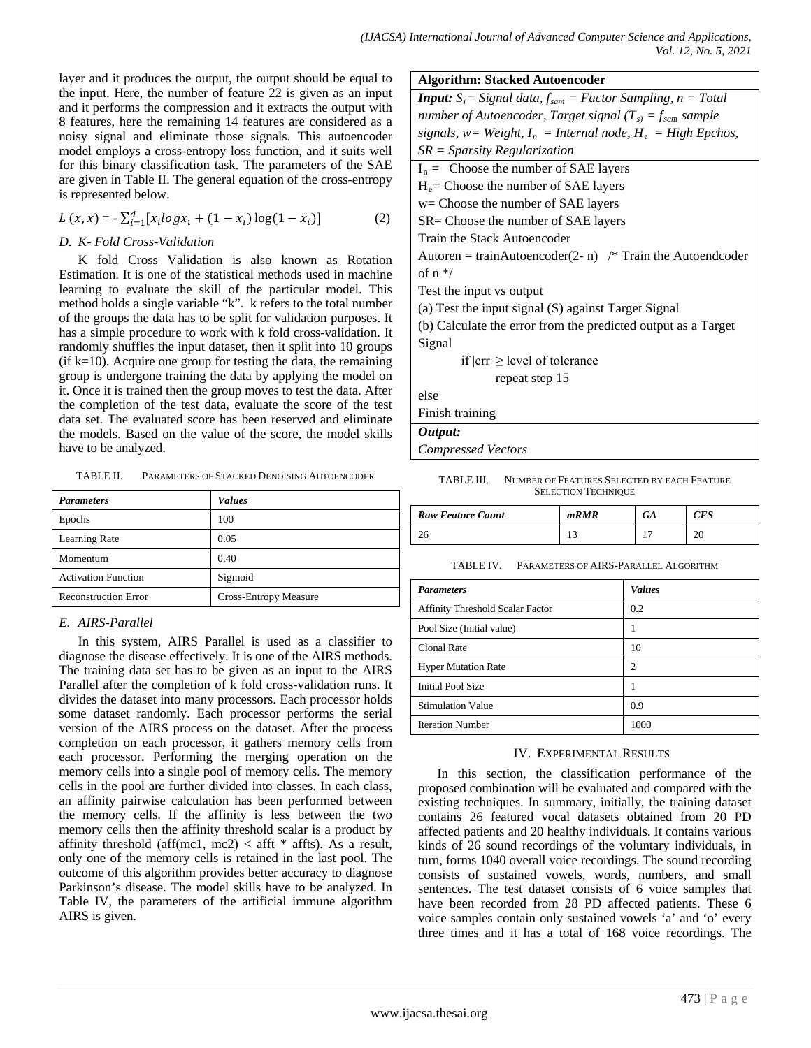layer and it produces the output, the output should be equal to the input. Here, the number of feature 22 is given as an input and it performs the compression and it extracts the output with 8 features, here the remaining 14 features are considered as a noisy signal and eliminate those signals. This autoencoder model employs a cross-entropy loss function, and it suits well for this binary classification task. The parameters of the SAE are given in Table II. The general equation of the cross-entropy is represented below.

$$
L(x,\bar{x}) = -\sum_{i=1}^{d} [x_i \log \bar{x}_i + (1 - x_i) \log(1 - \bar{x}_i)]
$$
 (2)

## *D. K- Fold Cross-Validation*

K fold Cross Validation is also known as Rotation Estimation. It is one of the statistical methods used in machine learning to evaluate the skill of the particular model. This method holds a single variable "k". k refers to the total number of the groups the data has to be split for validation purposes. It has a simple procedure to work with k fold cross-validation. It randomly shuffles the input dataset, then it split into 10 groups  $(i$ f k=10). Acquire one group for testing the data, the remaining group is undergone training the data by applying the model on it. Once it is trained then the group moves to test the data. After the completion of the test data, evaluate the score of the test data set. The evaluated score has been reserved and eliminate the models. Based on the value of the score, the model skills have to be analyzed.

TABLE II. PARAMETERS OF STACKED DENOISING AUTOENCODER

| <b>Parameters</b>           | <b>Values</b>                |
|-----------------------------|------------------------------|
| Epochs                      | 100                          |
| Learning Rate               | 0.05                         |
| Momentum                    | 0.40                         |
| <b>Activation Function</b>  | Sigmoid                      |
| <b>Reconstruction Error</b> | <b>Cross-Entropy Measure</b> |

# *E. AIRS-Parallel*

In this system, AIRS Parallel is used as a classifier to diagnose the disease effectively. It is one of the AIRS methods. The training data set has to be given as an input to the AIRS Parallel after the completion of k fold cross-validation runs. It divides the dataset into many processors. Each processor holds some dataset randomly. Each processor performs the serial version of the AIRS process on the dataset. After the process completion on each processor, it gathers memory cells from each processor. Performing the merging operation on the memory cells into a single pool of memory cells. The memory cells in the pool are further divided into classes. In each class, an affinity pairwise calculation has been performed between the memory cells. If the affinity is less between the two memory cells then the affinity threshold scalar is a product by affinity threshold (aff(mc1, mc2) < afft  $*$  affts). As a result, only one of the memory cells is retained in the last pool. The outcome of this algorithm provides better accuracy to diagnose Parkinson's disease. The model skills have to be analyzed. In Table IV, the parameters of the artificial immune algorithm AIRS is given.

| <b>Algorithm: Stacked Autoencoder</b>                                              |  |  |  |
|------------------------------------------------------------------------------------|--|--|--|
| <b>Input:</b> $S_i$ = Signal data, $f_{\text{som}}$ = Factor Sampling, $n = Total$ |  |  |  |
| number of Autoencoder, Target signal ( $T_{s}$ ) = $f_{sam}$ sample                |  |  |  |

| signals, w= Weight, $I_n$ = Internal node, $H_e$ = High Epchos, |  |  |  |
|-----------------------------------------------------------------|--|--|--|
| $SR =$ Sparsity Regularization                                  |  |  |  |
| $I_n$ = Choose the number of SAE layers                         |  |  |  |
| $H_e$ = Choose the number of SAE layers                         |  |  |  |
| $w =$ Choose the number of SAE layers                           |  |  |  |
| $SR = Choose$ the number of $SAE$ layers                        |  |  |  |
| Train the Stack Autoencoder                                     |  |  |  |
| Autoren = trainAutoencoder(2- n) /* Train the Autoendcoder      |  |  |  |
| of $n \frac{*}{ }$                                              |  |  |  |
| Test the input vs output                                        |  |  |  |
| (a) Test the input signal (S) against Target Signal             |  |  |  |
| (b) Calculate the error from the predicted output as a Target   |  |  |  |
| Signal                                                          |  |  |  |
| if $ err  \geq  level\ of\ tolerance$                           |  |  |  |
| repeat step 15                                                  |  |  |  |
| else                                                            |  |  |  |

Finish training

*Output:*

*Compressed Vectors*

| TABLE III. | NUMBER OF FEATURES SELECTED BY EACH FEATURE |
|------------|---------------------------------------------|
|            | <b>SELECTION TECHNIQUE</b>                  |

| <b>Raw Feature Count</b> | mRMR | GA | CFS    |
|--------------------------|------|----|--------|
| $\gamma$<br>ZU           |      |    | ີ<br>້ |

TABLE IV. PARAMETERS OF AIRS-PARALLEL ALGORITHM

| <b>Parameters</b>                       | <b>Values</b> |
|-----------------------------------------|---------------|
| <b>Affinity Threshold Scalar Factor</b> | 0.2           |
| Pool Size (Initial value)               |               |
| Clonal Rate                             | 10            |
| <b>Hyper Mutation Rate</b>              | 2             |
| <b>Initial Pool Size</b>                |               |
| <b>Stimulation Value</b>                | 0.9           |
| <b>Iteration Number</b>                 | 1000          |

# IV. EXPERIMENTAL RESULTS

In this section, the classification performance of the proposed combination will be evaluated and compared with the existing techniques. In summary, initially, the training dataset contains 26 featured vocal datasets obtained from 20 PD affected patients and 20 healthy individuals. It contains various kinds of 26 sound recordings of the voluntary individuals, in turn, forms 1040 overall voice recordings. The sound recording consists of sustained vowels, words, numbers, and small sentences. The test dataset consists of 6 voice samples that have been recorded from 28 PD affected patients. These 6 voice samples contain only sustained vowels 'a' and 'o' every three times and it has a total of 168 voice recordings. The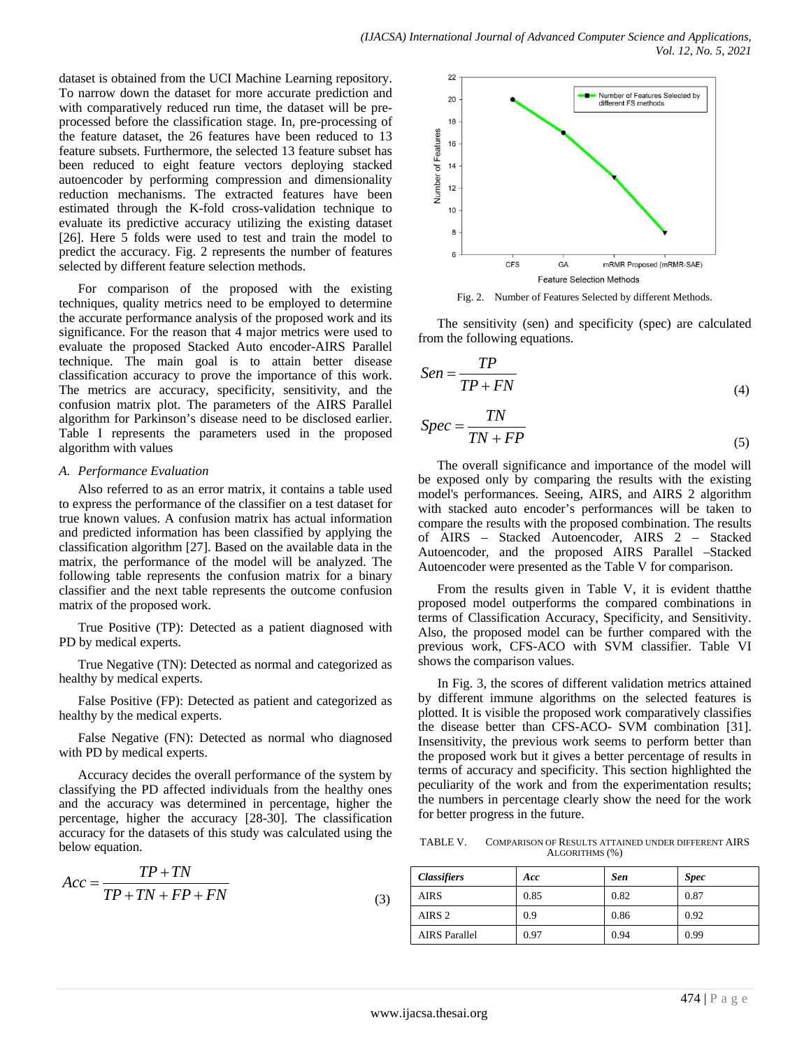dataset is obtained from the UCI Machine Learning repository. To narrow down the dataset for more accurate prediction and with comparatively reduced run time, the dataset will be preprocessed before the classification stage. In, pre-processing of the feature dataset, the 26 features have been reduced to 13 feature subsets. Furthermore, the selected 13 feature subset has been reduced to eight feature vectors deploying stacked autoencoder by performing compression and dimensionality reduction mechanisms. The extracted features have been estimated through the K-fold cross-validation technique to evaluate its predictive accuracy utilizing the existing dataset [26]. Here 5 folds were used to test and train the model to predict the accuracy. Fig. 2 represents the number of features selected by different feature selection methods.

For comparison of the proposed with the existing techniques, quality metrics need to be employed to determine the accurate performance analysis of the proposed work and its significance. For the reason that 4 major metrics were used to evaluate the proposed Stacked Auto encoder-AIRS Parallel technique. The main goal is to attain better disease classification accuracy to prove the importance of this work. The metrics are accuracy, specificity, sensitivity, and the confusion matrix plot. The parameters of the AIRS Parallel algorithm for Parkinson's disease need to be disclosed earlier. Table I represents the parameters used in the proposed algorithm with values

#### *A. Performance Evaluation*

Also referred to as an error matrix, it contains a table used to express the performance of the classifier on a test dataset for true known values. A confusion matrix has actual information and predicted information has been classified by applying the classification algorithm [27]. Based on the available data in the matrix, the performance of the model will be analyzed. The following table represents the confusion matrix for a binary classifier and the next table represents the outcome confusion matrix of the proposed work.

True Positive (TP): Detected as a patient diagnosed with PD by medical experts.

True Negative (TN): Detected as normal and categorized as healthy by medical experts.

False Positive (FP): Detected as patient and categorized as healthy by the medical experts.

False Negative (FN): Detected as normal who diagnosed with PD by medical experts.

Accuracy decides the overall performance of the system by classifying the PD affected individuals from the healthy ones and the accuracy was determined in percentage, higher the percentage, higher the accuracy [28-30]. The classification accuracy for the datasets of this study was calculated using the below equation.

$$
Acc = \frac{TP + TN}{TP + TN + FP + FN}
$$
\n(3)



Fig. 2. Number of Features Selected by different Methods.

The sensitivity (sen) and specificity (spec) are calculated from the following equations.

$$
Sen = \frac{TP}{TP + FN}
$$
\n<sup>(4)</sup>

$$
Spec = \frac{TN}{TN + FP}
$$
\n<sup>(5)</sup>

The overall significance and importance of the model will be exposed only by comparing the results with the existing model's performances. Seeing, AIRS, and AIRS 2 algorithm with stacked auto encoder's performances will be taken to compare the results with the proposed combination. The results of AIRS – Stacked Autoencoder, AIRS 2 – Stacked Autoencoder, and the proposed AIRS Parallel –Stacked Autoencoder were presented as the Table V for comparison.

From the results given in Table V, it is evident thatthe proposed model outperforms the compared combinations in terms of Classification Accuracy, Specificity, and Sensitivity. Also, the proposed model can be further compared with the previous work, CFS-ACO with SVM classifier. Table VI shows the comparison values.

In Fig. 3, the scores of different validation metrics attained by different immune algorithms on the selected features is plotted. It is visible the proposed work comparatively classifies the disease better than CFS-ACO- SVM combination [31]. Insensitivity, the previous work seems to perform better than the proposed work but it gives a better percentage of results in terms of accuracy and specificity. This section highlighted the peculiarity of the work and from the experimentation results; the numbers in percentage clearly show the need for the work for better progress in the future.

TABLE V. COMPARISON OF RESULTS ATTAINED UNDER DIFFERENT AIRS ALGORITHMS (%)

| <b>Classifiers</b>   | Acc  | <b>Sen</b> | <b>Spec</b> |
|----------------------|------|------------|-------------|
| AIRS                 | 0.85 | 0.82       | 0.87        |
| AIRS 2               | 0.9  | 0.86       | 0.92        |
| <b>AIRS</b> Parallel | 0.97 | 0.94       | 0.99        |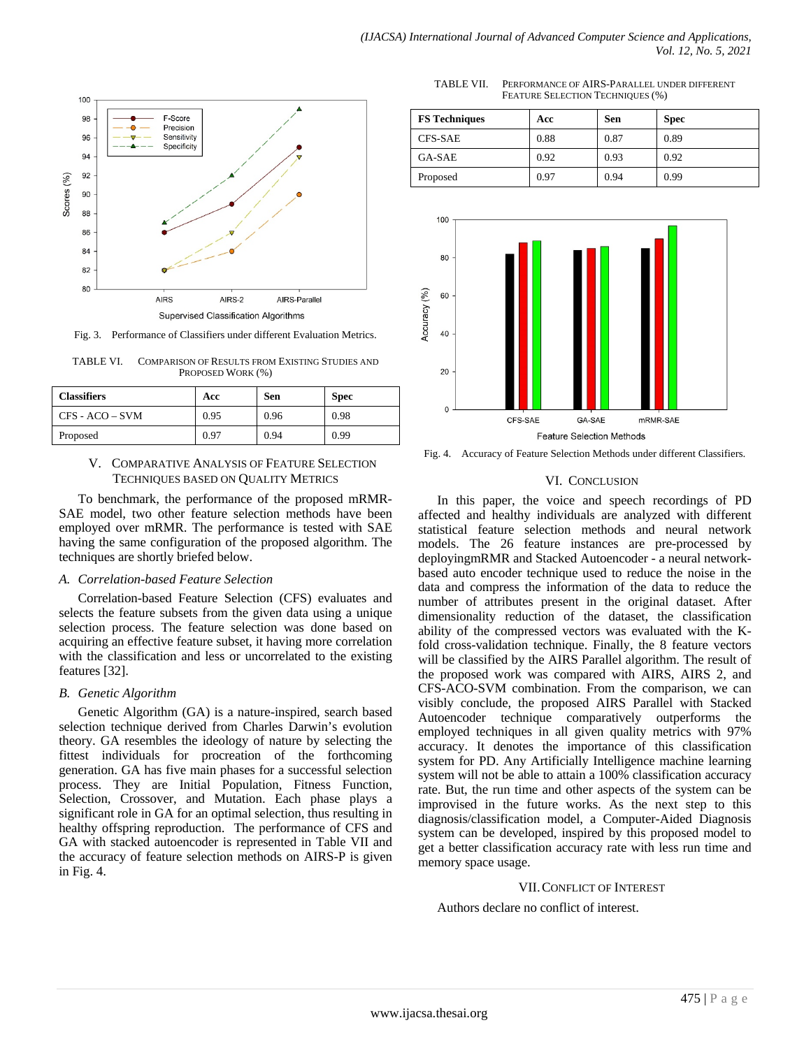

Fig. 3. Performance of Classifiers under different Evaluation Metrics.

TABLE VI. COMPARISON OF RESULTS FROM EXISTING STUDIES AND PROPOSED WORK (%)

| <b>Classifiers</b> | Acc  | <b>Sen</b> | <b>Spec</b> |
|--------------------|------|------------|-------------|
| CFS - ACO – SVM    | 0.95 | 0.96       | 0.98        |
| Proposed           | 0.97 | 0.94       | 0.99        |

#### V. COMPARATIVE ANALYSIS OF FEATURE SELECTION TECHNIQUES BASED ON QUALITY METRICS

To benchmark, the performance of the proposed mRMR-SAE model, two other feature selection methods have been employed over mRMR. The performance is tested with SAE having the same configuration of the proposed algorithm. The techniques are shortly briefed below.

#### *A. Correlation-based Feature Selection*

Correlation-based Feature Selection (CFS) evaluates and selects the feature subsets from the given data using a unique selection process. The feature selection was done based on acquiring an effective feature subset, it having more correlation with the classification and less or uncorrelated to the existing features [32].

# *B. Genetic Algorithm*

Genetic Algorithm (GA) is a nature-inspired, search based selection technique derived from Charles Darwin's evolution theory. GA resembles the ideology of nature by selecting the fittest individuals for procreation of the forthcoming generation. GA has five main phases for a successful selection process. They are Initial Population, Fitness Function, Selection, Crossover, and Mutation. Each phase plays a significant role in GA for an optimal selection, thus resulting in healthy offspring reproduction. The performance of CFS and GA with stacked autoencoder is represented in Table VII and the accuracy of feature selection methods on AIRS-P is given in Fig. 4.

TABLE VII. PERFORMANCE OF AIRS-PARALLEL UNDER DIFFERENT FEATURE SELECTION TECHNIQUES (%)

| <b>FS Techniques</b> | Acc  | Sen  | <b>Spec</b> |
|----------------------|------|------|-------------|
| CFS-SAE              | 0.88 | 0.87 | 0.89        |
| GA-SAE               | 0.92 | 0.93 | 0.92        |
| Proposed             | 0.97 | 0.94 | 0.99        |



Fig. 4. Accuracy of Feature Selection Methods under different Classifiers.

## VI. CONCLUSION

In this paper, the voice and speech recordings of PD affected and healthy individuals are analyzed with different statistical feature selection methods and neural network models. The 26 feature instances are pre-processed by deployingmRMR and Stacked Autoencoder - a neural networkbased auto encoder technique used to reduce the noise in the data and compress the information of the data to reduce the number of attributes present in the original dataset. After dimensionality reduction of the dataset, the classification ability of the compressed vectors was evaluated with the Kfold cross-validation technique. Finally, the 8 feature vectors will be classified by the AIRS Parallel algorithm. The result of the proposed work was compared with AIRS, AIRS 2, and CFS-ACO-SVM combination. From the comparison, we can visibly conclude, the proposed AIRS Parallel with Stacked Autoencoder technique comparatively outperforms the employed techniques in all given quality metrics with 97% accuracy. It denotes the importance of this classification system for PD. Any Artificially Intelligence machine learning system will not be able to attain a 100% classification accuracy rate. But, the run time and other aspects of the system can be improvised in the future works. As the next step to this diagnosis/classification model, a Computer-Aided Diagnosis system can be developed, inspired by this proposed model to get a better classification accuracy rate with less run time and memory space usage.

# VII.CONFLICT OF INTEREST

Authors declare no conflict of interest.